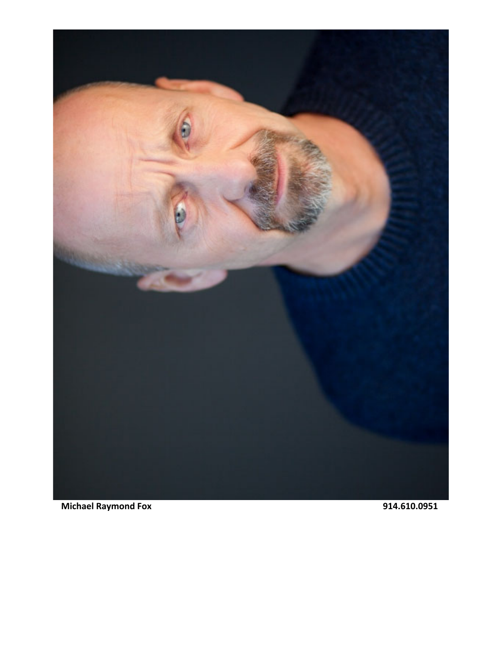